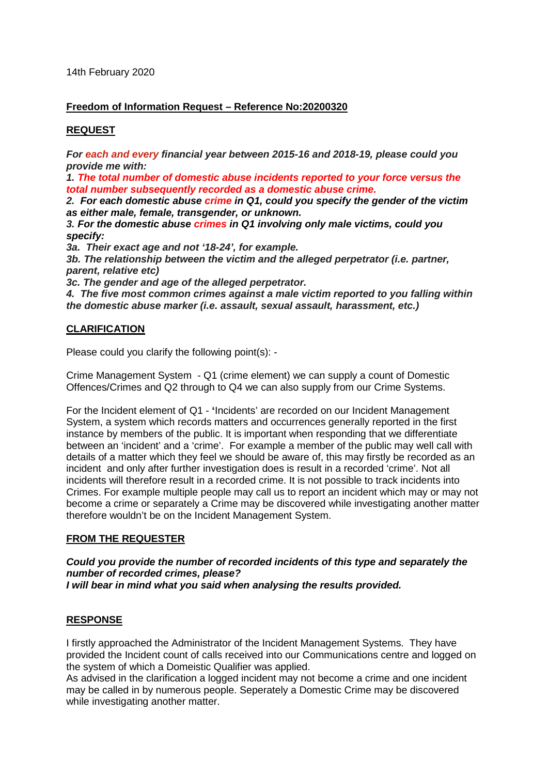14th February 2020

#### **Freedom of Information Request – Reference No:20200320**

# **REQUEST**

*For each and every financial year between 2015-16 and 2018-19, please could you provide me with:*

*1. The total number of domestic abuse incidents reported to your force versus the total number subsequently recorded as a domestic abuse crime.*

*2. For each domestic abuse crime in Q1, could you specify the gender of the victim as either male, female, transgender, or unknown.*

*3. For the domestic abuse crimes in Q1 involving only male victims, could you specify:*

*3a. Their exact age and not '18-24', for example.*

*3b. The relationship between the victim and the alleged perpetrator (i.e. partner, parent, relative etc)*

*3c. The gender and age of the alleged perpetrator.*

*4. The five most common crimes against a male victim reported to you falling within the domestic abuse marker (i.e. assault, sexual assault, harassment, etc.)*

# **CLARIFICATION**

Please could you clarify the following point(s): -

Crime Management System - Q1 (crime element) we can supply a count of Domestic Offences/Crimes and Q2 through to Q4 we can also supply from our Crime Systems.

For the Incident element of Q1 - **'**Incidents' are recorded on our Incident Management System, a system which records matters and occurrences generally reported in the first instance by members of the public. It is important when responding that we differentiate between an 'incident' and a 'crime'. For example a member of the public may well call with details of a matter which they feel we should be aware of, this may firstly be recorded as an incident and only after further investigation does is result in a recorded 'crime'. Not all incidents will therefore result in a recorded crime. It is not possible to track incidents into Crimes. For example multiple people may call us to report an incident which may or may not become a crime or separately a Crime may be discovered while investigating another matter therefore wouldn't be on the Incident Management System.

## **FROM THE REQUESTER**

*Could you provide the number of recorded incidents of this type and separately the number of recorded crimes, please? I will bear in mind what you said when analysing the results provided.*

## **RESPONSE**

I firstly approached the Administrator of the Incident Management Systems. They have provided the Incident count of calls received into our Communications centre and logged on the system of which a Domeistic Qualifier was applied.

As advised in the clarification a logged incident may not become a crime and one incident may be called in by numerous people. Seperately a Domestic Crime may be discovered while investigating another matter.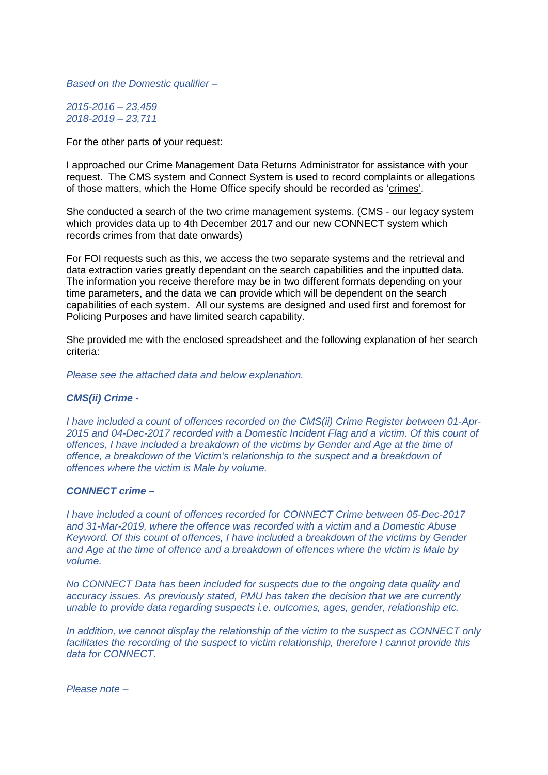*Based on the Domestic qualifier –*

*2015-2016 – 23,459 2018-2019 – 23,711*

For the other parts of your request:

I approached our Crime Management Data Returns Administrator for assistance with your request. The CMS system and Connect System is used to record complaints or allegations of those matters, which the Home Office specify should be recorded as 'crimes'.

She conducted a search of the two crime management systems. (CMS - our legacy system which provides data up to 4th December 2017 and our new CONNECT system which records crimes from that date onwards)

For FOI requests such as this, we access the two separate systems and the retrieval and data extraction varies greatly dependant on the search capabilities and the inputted data. The information you receive therefore may be in two different formats depending on your time parameters, and the data we can provide which will be dependent on the search capabilities of each system. All our systems are designed and used first and foremost for Policing Purposes and have limited search capability.

She provided me with the enclosed spreadsheet and the following explanation of her search criteria:

*Please see the attached data and below explanation.*

#### *CMS(ii) Crime -*

*I have included a count of offences recorded on the CMS(ii) Crime Register between 01-Apr-2015 and 04-Dec-2017 recorded with a Domestic Incident Flag and a victim. Of this count of offences, I have included a breakdown of the victims by Gender and Age at the time of offence, a breakdown of the Victim's relationship to the suspect and a breakdown of offences where the victim is Male by volume.*

#### *CONNECT crime –*

*I have included a count of offences recorded for CONNECT Crime between 05-Dec-2017 and 31-Mar-2019, where the offence was recorded with a victim and a Domestic Abuse Keyword. Of this count of offences, I have included a breakdown of the victims by Gender and Age at the time of offence and a breakdown of offences where the victim is Male by volume.*

*No CONNECT Data has been included for suspects due to the ongoing data quality and accuracy issues. As previously stated, PMU has taken the decision that we are currently unable to provide data regarding suspects i.e. outcomes, ages, gender, relationship etc.*

*In addition, we cannot display the relationship of the victim to the suspect as CONNECT only facilitates the recording of the suspect to victim relationship, therefore I cannot provide this data for CONNECT.*

*Please note –*